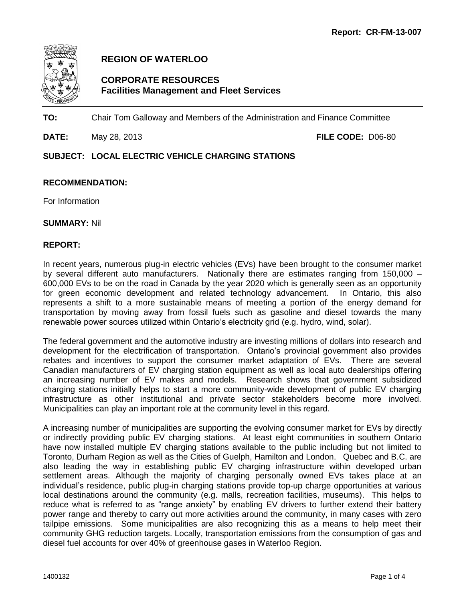

**REGION OF WATERLOO**

# **CORPORATE RESOURCES Facilities Management and Fleet Services**

**TO:** Chair Tom Galloway and Members of the Administration and Finance Committee

**DATE:** May 28, 2013 **FILE CODE:** D06-80

## **SUBJECT: LOCAL ELECTRIC VEHICLE CHARGING STATIONS**

### **RECOMMENDATION:**

For Information

**SUMMARY:** Nil

### **REPORT:**

In recent years, numerous plug-in electric vehicles (EVs) have been brought to the consumer market by several different auto manufacturers. Nationally there are estimates ranging from 150,000 – 600,000 EVs to be on the road in Canada by the year 2020 which is generally seen as an opportunity for green economic development and related technology advancement. In Ontario, this also represents a shift to a more sustainable means of meeting a portion of the energy demand for transportation by moving away from fossil fuels such as gasoline and diesel towards the many renewable power sources utilized within Ontario's electricity grid (e.g. hydro, wind, solar).

The federal government and the automotive industry are investing millions of dollars into research and development for the electrification of transportation. Ontario's provincial government also provides rebates and incentives to support the consumer market adaptation of EVs. There are several Canadian manufacturers of EV charging station equipment as well as local auto dealerships offering an increasing number of EV makes and models. Research shows that government subsidized charging stations initially helps to start a more community-wide development of public EV charging infrastructure as other institutional and private sector stakeholders become more involved. Municipalities can play an important role at the community level in this regard.

A increasing number of municipalities are supporting the evolving consumer market for EVs by directly or indirectly providing public EV charging stations. At least eight communities in southern Ontario have now installed multiple EV charging stations available to the public including but not limited to Toronto, Durham Region as well as the Cities of Guelph, Hamilton and London. Quebec and B.C. are also leading the way in establishing public EV charging infrastructure within developed urban settlement areas. Although the majority of charging personally owned EVs takes place at an individual's residence, public plug-in charging stations provide top-up charge opportunities at various local destinations around the community (e.g. malls, recreation facilities, museums). This helps to reduce what is referred to as "range anxiety" by enabling EV drivers to further extend their battery power range and thereby to carry out more activities around the community, in many cases with zero tailpipe emissions. Some municipalities are also recognizing this as a means to help meet their community GHG reduction targets. Locally, transportation emissions from the consumption of gas and diesel fuel accounts for over 40% of greenhouse gases in Waterloo Region.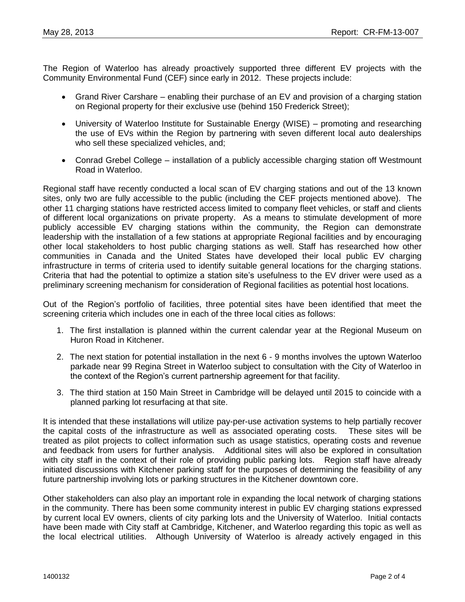The Region of Waterloo has already proactively supported three different EV projects with the Community Environmental Fund (CEF) since early in 2012. These projects include:

- Grand River Carshare enabling their purchase of an EV and provision of a charging station on Regional property for their exclusive use (behind 150 Frederick Street);
- University of Waterloo Institute for Sustainable Energy (WISE) promoting and researching the use of EVs within the Region by partnering with seven different local auto dealerships who sell these specialized vehicles, and;
- Conrad Grebel College installation of a publicly accessible charging station off Westmount Road in Waterloo.

Regional staff have recently conducted a local scan of EV charging stations and out of the 13 known sites, only two are fully accessible to the public (including the CEF projects mentioned above). The other 11 charging stations have restricted access limited to company fleet vehicles, or staff and clients of different local organizations on private property. As a means to stimulate development of more publicly accessible EV charging stations within the community, the Region can demonstrate leadership with the installation of a few stations at appropriate Regional facilities and by encouraging other local stakeholders to host public charging stations as well. Staff has researched how other communities in Canada and the United States have developed their local public EV charging infrastructure in terms of criteria used to identify suitable general locations for the charging stations. Criteria that had the potential to optimize a station site's usefulness to the EV driver were used as a preliminary screening mechanism for consideration of Regional facilities as potential host locations.

Out of the Region's portfolio of facilities, three potential sites have been identified that meet the screening criteria which includes one in each of the three local cities as follows:

- 1. The first installation is planned within the current calendar year at the Regional Museum on Huron Road in Kitchener.
- 2. The next station for potential installation in the next 6 9 months involves the uptown Waterloo parkade near 99 Regina Street in Waterloo subject to consultation with the City of Waterloo in the context of the Region's current partnership agreement for that facility.
- 3. The third station at 150 Main Street in Cambridge will be delayed until 2015 to coincide with a planned parking lot resurfacing at that site.

It is intended that these installations will utilize pay-per-use activation systems to help partially recover the capital costs of the infrastructure as well as associated operating costs. These sites will be treated as pilot projects to collect information such as usage statistics, operating costs and revenue and feedback from users for further analysis. Additional sites will also be explored in consultation with city staff in the context of their role of providing public parking lots. Region staff have already initiated discussions with Kitchener parking staff for the purposes of determining the feasibility of any future partnership involving lots or parking structures in the Kitchener downtown core.

Other stakeholders can also play an important role in expanding the local network of charging stations in the community. There has been some community interest in public EV charging stations expressed by current local EV owners, clients of city parking lots and the University of Waterloo. Initial contacts have been made with City staff at Cambridge, Kitchener, and Waterloo regarding this topic as well as the local electrical utilities. Although University of Waterloo is already actively engaged in this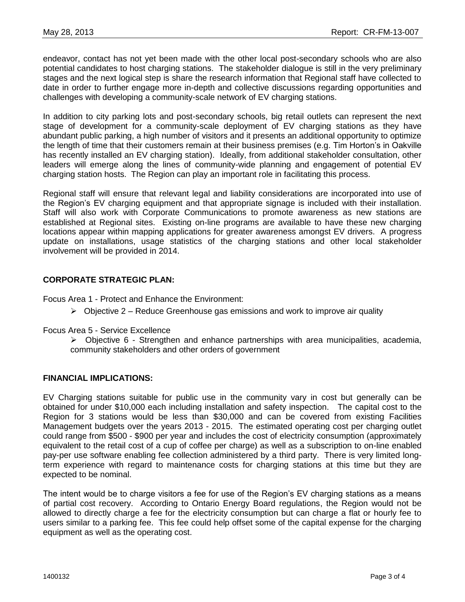endeavor, contact has not yet been made with the other local post-secondary schools who are also potential candidates to host charging stations. The stakeholder dialogue is still in the very preliminary stages and the next logical step is share the research information that Regional staff have collected to date in order to further engage more in-depth and collective discussions regarding opportunities and challenges with developing a community-scale network of EV charging stations.

In addition to city parking lots and post-secondary schools, big retail outlets can represent the next stage of development for a community-scale deployment of EV charging stations as they have abundant public parking, a high number of visitors and it presents an additional opportunity to optimize the length of time that their customers remain at their business premises (e.g. Tim Horton's in Oakville has recently installed an EV charging station). Ideally, from additional stakeholder consultation, other leaders will emerge along the lines of community-wide planning and engagement of potential EV charging station hosts. The Region can play an important role in facilitating this process.

Regional staff will ensure that relevant legal and liability considerations are incorporated into use of the Region's EV charging equipment and that appropriate signage is included with their installation. Staff will also work with Corporate Communications to promote awareness as new stations are established at Regional sites. Existing on-line programs are available to have these new charging locations appear within mapping applications for greater awareness amongst EV drivers. A progress update on installations, usage statistics of the charging stations and other local stakeholder involvement will be provided in 2014.

## **CORPORATE STRATEGIC PLAN:**

Focus Area 1 - Protect and Enhance the Environment:

- $\triangleright$  Objective 2 Reduce Greenhouse gas emissions and work to improve air quality
- Focus Area 5 Service Excellence

 $\triangleright$  Objective 6 - Strengthen and enhance partnerships with area municipalities, academia, community stakeholders and other orders of government

#### **FINANCIAL IMPLICATIONS:**

EV Charging stations suitable for public use in the community vary in cost but generally can be obtained for under \$10,000 each including installation and safety inspection. The capital cost to the Region for 3 stations would be less than \$30,000 and can be covered from existing Facilities Management budgets over the years 2013 - 2015. The estimated operating cost per charging outlet could range from \$500 - \$900 per year and includes the cost of electricity consumption (approximately equivalent to the retail cost of a cup of coffee per charge) as well as a subscription to on-line enabled pay-per use software enabling fee collection administered by a third party. There is very limited longterm experience with regard to maintenance costs for charging stations at this time but they are expected to be nominal.

The intent would be to charge visitors a fee for use of the Region's EV charging stations as a means of partial cost recovery. According to Ontario Energy Board regulations, the Region would not be allowed to directly charge a fee for the electricity consumption but can charge a flat or hourly fee to users similar to a parking fee. This fee could help offset some of the capital expense for the charging equipment as well as the operating cost.